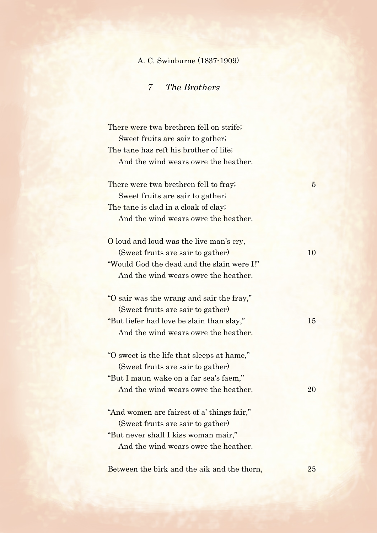## A. C. Swinburne (1837-1909)

7 The Brothers

There were twa brethren fell on strife; Sweet fruits are sair to gather; The tane has reft his brother of life; And the wind wears owre the heather. There were twa brethren fell to fray; 5 Sweet fruits are sair to gather; The tane is clad in a cloak of clay; And the wind wears owre the heather. O loud and loud was the live man's cry, (Sweet fruits are sair to gather) 10 "Would God the dead and the slain were I!" And the wind wears owre the heather. "O sair was the wrang and sair the fray," (Sweet fruits are sair to gather) "But liefer had love be slain than slay," 15 And the wind wears owre the heather. "O sweet is the life that sleeps at hame," (Sweet fruits are sair to gather) "But I maun wake on a far sea's faem," And the wind wears owre the heather. 20 "And women are fairest of a' things fair," (Sweet fruits are sair to gather) "But never shall I kiss woman mair," And the wind wears owre the heather.

Between the birk and the aik and the thorn, 25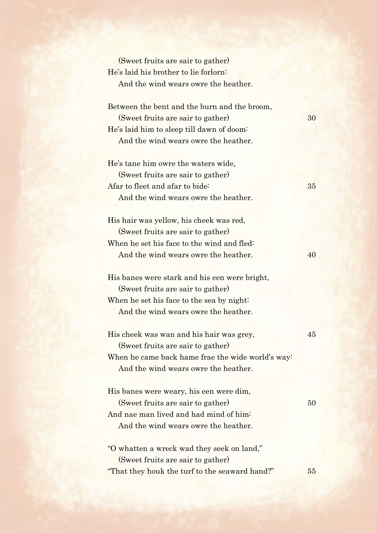| (Sweet fruits are sair to gather)                 |  |
|---------------------------------------------------|--|
| He's laid his brother to lie forlorn:             |  |
| And the wind wears owre the heather.              |  |
| Between the bent and the burn and the broom,      |  |
| (Sweet fruits are sair to gather)                 |  |
| He's laid him to sleep till dawn of doom:         |  |
| And the wind wears owre the heather.              |  |
| He's tane him owre the waters wide,               |  |
| (Sweet fruits are sair to gather)                 |  |
| Afar to fleet and afar to bide:                   |  |
| And the wind wears owre the heather.              |  |
| His hair was yellow, his cheek was red,           |  |
| (Sweet fruits are sair to gather)                 |  |
| When he set his face to the wind and fled:        |  |
| And the wind wears owre the heather.              |  |
| His banes were stark and his een were bright,     |  |
| (Sweet fruits are sair to gather)                 |  |
| When he set his face to the sea by night:         |  |
| And the wind wears owre the heather.              |  |
| His cheek was wan and his hair was grey,          |  |
| (Sweet fruits are sair to gather)                 |  |
| When he came back hame frae the wide world's way: |  |
| And the wind wears owre the heather.              |  |
| His banes were weary, his een were dim,           |  |
| (Sweet fruits are sair to gather)                 |  |
| And nae man lived and had mind of him:            |  |
| And the wind wears owre the heather.              |  |
| "O whatten a wreck wad they seek on land,"        |  |
| (Sweet fruits are sair to gather)                 |  |
| "That they houk the turf to the seaward hand?"    |  |